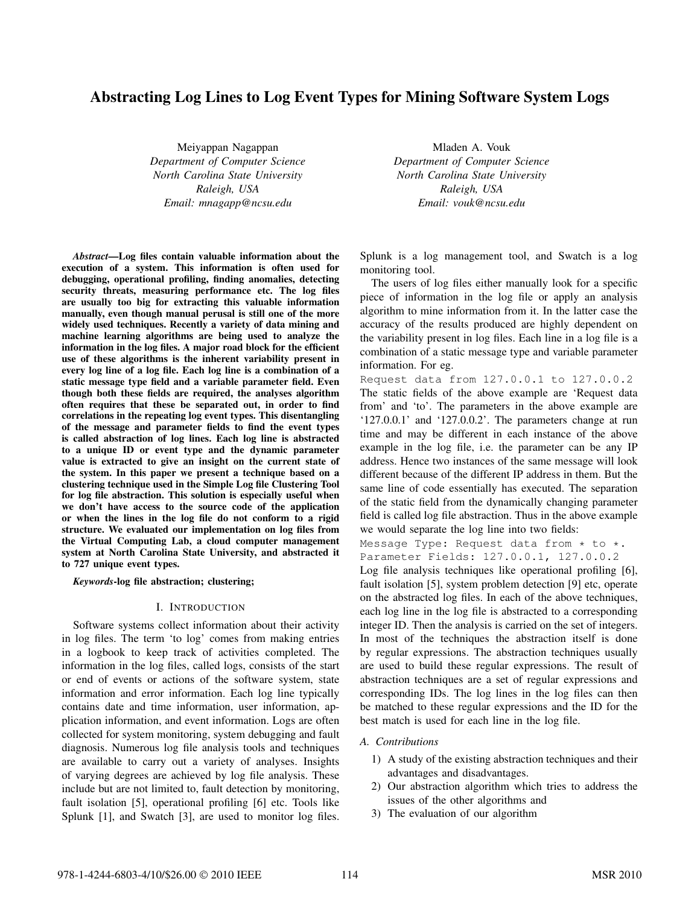# Abstracting Log Lines to Log Event Types for Mining Software System Logs

Meiyappan Nagappan *Department of Computer Science North Carolina State University Raleigh, USA Email: mnagapp@ncsu.edu*

*Abstract*—Log files contain valuable information about the execution of a system. This information is often used for debugging, operational profiling, finding anomalies, detecting security threats, measuring performance etc. The log files are usually too big for extracting this valuable information manually, even though manual perusal is still one of the more widely used techniques. Recently a variety of data mining and machine learning algorithms are being used to analyze the information in the log files. A major road block for the efficient use of these algorithms is the inherent variability present in every log line of a log file. Each log line is a combination of a static message type field and a variable parameter field. Even though both these fields are required, the analyses algorithm often requires that these be separated out, in order to find correlations in the repeating log event types. This disentangling of the message and parameter fields to find the event types is called abstraction of log lines. Each log line is abstracted to a unique ID or event type and the dynamic parameter value is extracted to give an insight on the current state of the system. In this paper we present a technique based on a clustering technique used in the Simple Log file Clustering Tool for log file abstraction. This solution is especially useful when we don't have access to the source code of the application or when the lines in the log file do not conform to a rigid structure. We evaluated our implementation on log files from the Virtual Computing Lab, a cloud computer management system at North Carolina State University, and abstracted it to 727 unique event types.

*Keywords*-log file abstraction; clustering;

## I. INTRODUCTION

Software systems collect information about their activity in log files. The term 'to log' comes from making entries in a logbook to keep track of activities completed. The information in the log files, called logs, consists of the start or end of events or actions of the software system, state information and error information. Each log line typically contains date and time information, user information, application information, and event information. Logs are often collected for system monitoring, system debugging and fault diagnosis. Numerous log file analysis tools and techniques are available to carry out a variety of analyses. Insights of varying degrees are achieved by log file analysis. These include but are not limited to, fault detection by monitoring, fault isolation [5], operational profiling [6] etc. Tools like Splunk [1], and Swatch [3], are used to monitor log files.

Mladen A. Vouk *Department of Computer Science North Carolina State University Raleigh, USA Email: vouk@ncsu.edu*

Splunk is a log management tool, and Swatch is a log monitoring tool.

The users of log files either manually look for a specific piece of information in the log file or apply an analysis algorithm to mine information from it. In the latter case the accuracy of the results produced are highly dependent on the variability present in log files. Each line in a log file is a combination of a static message type and variable parameter information. For eg.

Request data from 127.0.0.1 to 127.0.0.2 The static fields of the above example are 'Request data from' and 'to'. The parameters in the above example are '127.0.0.1' and '127.0.0.2'. The parameters change at run time and may be different in each instance of the above example in the log file, i.e. the parameter can be any IP address. Hence two instances of the same message will look different because of the different IP address in them. But the same line of code essentially has executed. The separation of the static field from the dynamically changing parameter field is called log file abstraction. Thus in the above example we would separate the log line into two fields:

Message Type: Request data from  $*$  to  $*$ . Parameter Fields: 127.0.0.1, 127.0.0.2

Log file analysis techniques like operational profiling [6], fault isolation [5], system problem detection [9] etc, operate on the abstracted log files. In each of the above techniques, each log line in the log file is abstracted to a corresponding integer ID. Then the analysis is carried on the set of integers. In most of the techniques the abstraction itself is done by regular expressions. The abstraction techniques usually are used to build these regular expressions. The result of abstraction techniques are a set of regular expressions and corresponding IDs. The log lines in the log files can then be matched to these regular expressions and the ID for the best match is used for each line in the log file.

## *A. Contributions*

- 1) A study of the existing abstraction techniques and their advantages and disadvantages.
- 2) Our abstraction algorithm which tries to address the issues of the other algorithms and
- 3) The evaluation of our algorithm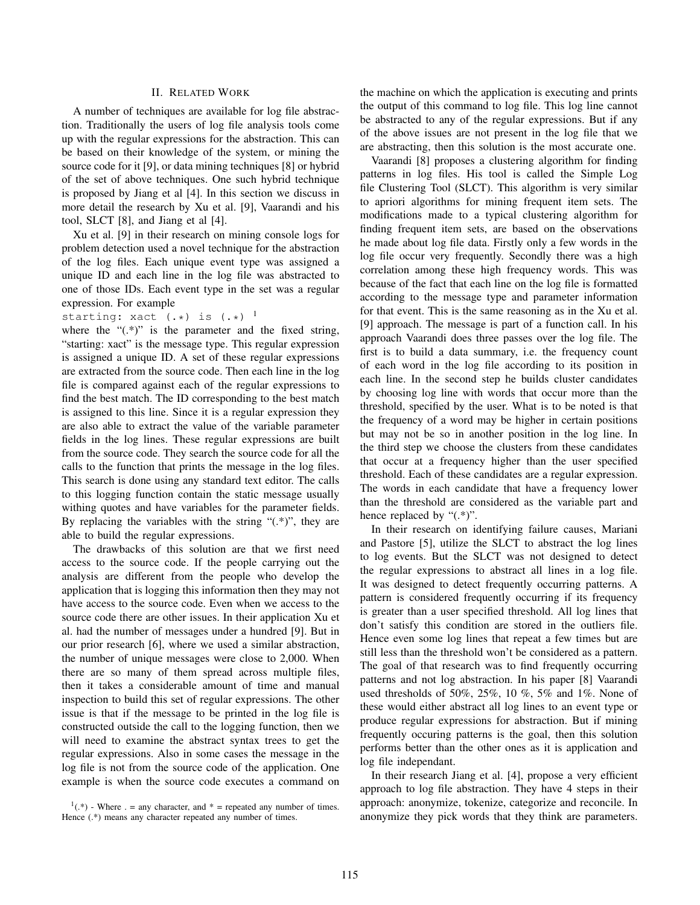# II. RELATED WORK

A number of techniques are available for log file abstraction. Traditionally the users of log file analysis tools come up with the regular expressions for the abstraction. This can be based on their knowledge of the system, or mining the source code for it [9], or data mining techniques [8] or hybrid of the set of above techniques. One such hybrid technique is proposed by Jiang et al [4]. In this section we discuss in more detail the research by Xu et al. [9], Vaarandi and his tool, SLCT [8], and Jiang et al [4].

Xu et al. [9] in their research on mining console logs for problem detection used a novel technique for the abstraction of the log files. Each unique event type was assigned a unique ID and each line in the log file was abstracted to one of those IDs. Each event type in the set was a regular expression. For example

starting: xact  $(.*)$  is  $(.*)^{-1}$ 

where the " $($ .\*)" is the parameter and the fixed string, "starting: xact" is the message type. This regular expression is assigned a unique ID. A set of these regular expressions are extracted from the source code. Then each line in the log file is compared against each of the regular expressions to find the best match. The ID corresponding to the best match is assigned to this line. Since it is a regular expression they are also able to extract the value of the variable parameter fields in the log lines. These regular expressions are built from the source code. They search the source code for all the calls to the function that prints the message in the log files. This search is done using any standard text editor. The calls to this logging function contain the static message usually withing quotes and have variables for the parameter fields. By replacing the variables with the string " $(*)$ ", they are able to build the regular expressions.

The drawbacks of this solution are that we first need access to the source code. If the people carrying out the analysis are different from the people who develop the application that is logging this information then they may not have access to the source code. Even when we access to the source code there are other issues. In their application Xu et al. had the number of messages under a hundred [9]. But in our prior research [6], where we used a similar abstraction, the number of unique messages were close to 2,000. When there are so many of them spread across multiple files, then it takes a considerable amount of time and manual inspection to build this set of regular expressions. The other issue is that if the message to be printed in the log file is constructed outside the call to the logging function, then we will need to examine the abstract syntax trees to get the regular expressions. Also in some cases the message in the log file is not from the source code of the application. One example is when the source code executes a command on the machine on which the application is executing and prints the output of this command to log file. This log line cannot be abstracted to any of the regular expressions. But if any of the above issues are not present in the log file that we are abstracting, then this solution is the most accurate one.

Vaarandi [8] proposes a clustering algorithm for finding patterns in log files. His tool is called the Simple Log file Clustering Tool (SLCT). This algorithm is very similar to apriori algorithms for mining frequent item sets. The modifications made to a typical clustering algorithm for finding frequent item sets, are based on the observations he made about log file data. Firstly only a few words in the log file occur very frequently. Secondly there was a high correlation among these high frequency words. This was because of the fact that each line on the log file is formatted according to the message type and parameter information for that event. This is the same reasoning as in the Xu et al. [9] approach. The message is part of a function call. In his approach Vaarandi does three passes over the log file. The first is to build a data summary, i.e. the frequency count of each word in the log file according to its position in each line. In the second step he builds cluster candidates by choosing log line with words that occur more than the threshold, specified by the user. What is to be noted is that the frequency of a word may be higher in certain positions but may not be so in another position in the log line. In the third step we choose the clusters from these candidates that occur at a frequency higher than the user specified threshold. Each of these candidates are a regular expression. The words in each candidate that have a frequency lower than the threshold are considered as the variable part and hence replaced by "(.\*)".

In their research on identifying failure causes, Mariani and Pastore [5], utilize the SLCT to abstract the log lines to log events. But the SLCT was not designed to detect the regular expressions to abstract all lines in a log file. It was designed to detect frequently occurring patterns. A pattern is considered frequently occurring if its frequency is greater than a user specified threshold. All log lines that don't satisfy this condition are stored in the outliers file. Hence even some log lines that repeat a few times but are still less than the threshold won't be considered as a pattern. The goal of that research was to find frequently occurring patterns and not log abstraction. In his paper [8] Vaarandi used thresholds of 50%, 25%, 10 %, 5% and 1%. None of these would either abstract all log lines to an event type or produce regular expressions for abstraction. But if mining frequently occuring patterns is the goal, then this solution performs better than the other ones as it is application and log file independant.

In their research Jiang et al. [4], propose a very efficient approach to log file abstraction. They have 4 steps in their approach: anonymize, tokenize, categorize and reconcile. In anonymize they pick words that they think are parameters.

 $(1^1(*)$  - Where . = any character, and \* = repeated any number of times. Hence  $(*)$  means any character repeated any number of times.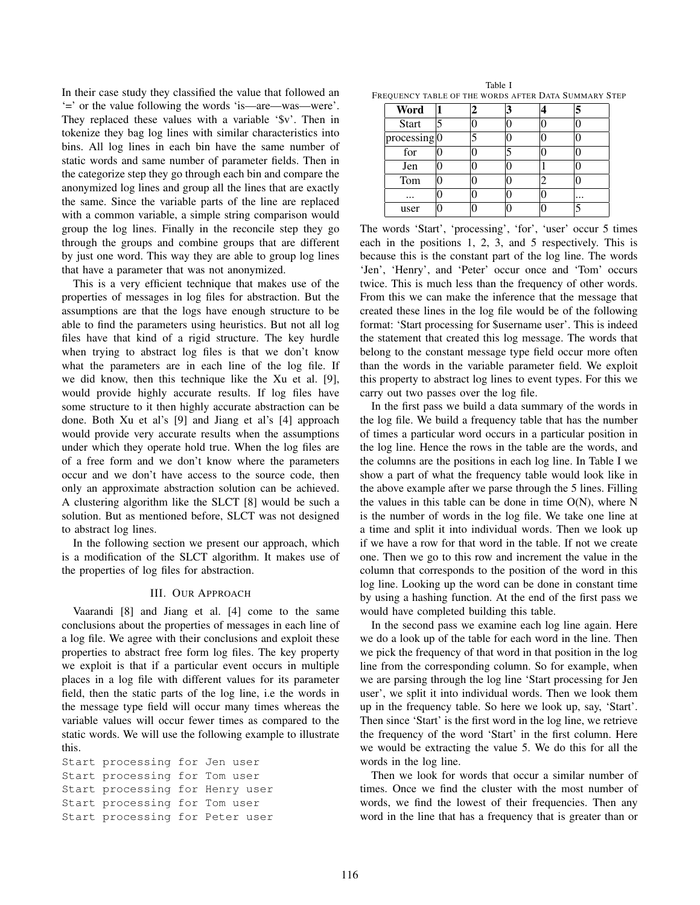In their case study they classified the value that followed an '=' or the value following the words 'is—are—was—were'. They replaced these values with a variable '\$v'. Then in tokenize they bag log lines with similar characteristics into bins. All log lines in each bin have the same number of static words and same number of parameter fields. Then in the categorize step they go through each bin and compare the anonymized log lines and group all the lines that are exactly the same. Since the variable parts of the line are replaced with a common variable, a simple string comparison would group the log lines. Finally in the reconcile step they go through the groups and combine groups that are different by just one word. This way they are able to group log lines that have a parameter that was not anonymized.

This is a very efficient technique that makes use of the properties of messages in log files for abstraction. But the assumptions are that the logs have enough structure to be able to find the parameters using heuristics. But not all log files have that kind of a rigid structure. The key hurdle when trying to abstract log files is that we don't know what the parameters are in each line of the log file. If we did know, then this technique like the Xu et al. [9], would provide highly accurate results. If log files have some structure to it then highly accurate abstraction can be done. Both Xu et al's [9] and Jiang et al's [4] approach would provide very accurate results when the assumptions under which they operate hold true. When the log files are of a free form and we don't know where the parameters occur and we don't have access to the source code, then only an approximate abstraction solution can be achieved. A clustering algorithm like the SLCT [8] would be such a solution. But as mentioned before, SLCT was not designed to abstract log lines.

In the following section we present our approach, which is a modification of the SLCT algorithm. It makes use of the properties of log files for abstraction.

### III. OUR APPROACH

Vaarandi [8] and Jiang et al. [4] come to the same conclusions about the properties of messages in each line of a log file. We agree with their conclusions and exploit these properties to abstract free form log files. The key property we exploit is that if a particular event occurs in multiple places in a log file with different values for its parameter field, then the static parts of the log line, i.e the words in the message type field will occur many times whereas the variable values will occur fewer times as compared to the static words. We will use the following example to illustrate this.

Start processing for Jen user Start processing for Tom user Start processing for Henry user Start processing for Tom user Start processing for Peter user

Table I FREQUENCY TABLE OF THE WORDS AFTER DATA SUMMARY STEP

| Word                      | 2 |  | 5        |
|---------------------------|---|--|----------|
| <b>Start</b>              |   |  |          |
| processing <sup>[0]</sup> |   |  |          |
| for                       |   |  |          |
| Jen                       |   |  |          |
| Tom                       |   |  |          |
|                           |   |  | $\cdots$ |
| user                      |   |  |          |

The words 'Start', 'processing', 'for', 'user' occur 5 times each in the positions 1, 2, 3, and 5 respectively. This is because this is the constant part of the log line. The words 'Jen', 'Henry', and 'Peter' occur once and 'Tom' occurs twice. This is much less than the frequency of other words. From this we can make the inference that the message that created these lines in the log file would be of the following format: 'Start processing for \$username user'. This is indeed the statement that created this log message. The words that belong to the constant message type field occur more often than the words in the variable parameter field. We exploit this property to abstract log lines to event types. For this we carry out two passes over the log file.

In the first pass we build a data summary of the words in the log file. We build a frequency table that has the number of times a particular word occurs in a particular position in the log line. Hence the rows in the table are the words, and the columns are the positions in each log line. In Table I we show a part of what the frequency table would look like in the above example after we parse through the 5 lines. Filling the values in this table can be done in time  $O(N)$ , where N is the number of words in the log file. We take one line at a time and split it into individual words. Then we look up if we have a row for that word in the table. If not we create one. Then we go to this row and increment the value in the column that corresponds to the position of the word in this log line. Looking up the word can be done in constant time by using a hashing function. At the end of the first pass we would have completed building this table.

In the second pass we examine each log line again. Here we do a look up of the table for each word in the line. Then we pick the frequency of that word in that position in the log line from the corresponding column. So for example, when we are parsing through the log line 'Start processing for Jen user', we split it into individual words. Then we look them up in the frequency table. So here we look up, say, 'Start'. Then since 'Start' is the first word in the log line, we retrieve the frequency of the word 'Start' in the first column. Here we would be extracting the value 5. We do this for all the words in the log line.

Then we look for words that occur a similar number of times. Once we find the cluster with the most number of words, we find the lowest of their frequencies. Then any word in the line that has a frequency that is greater than or